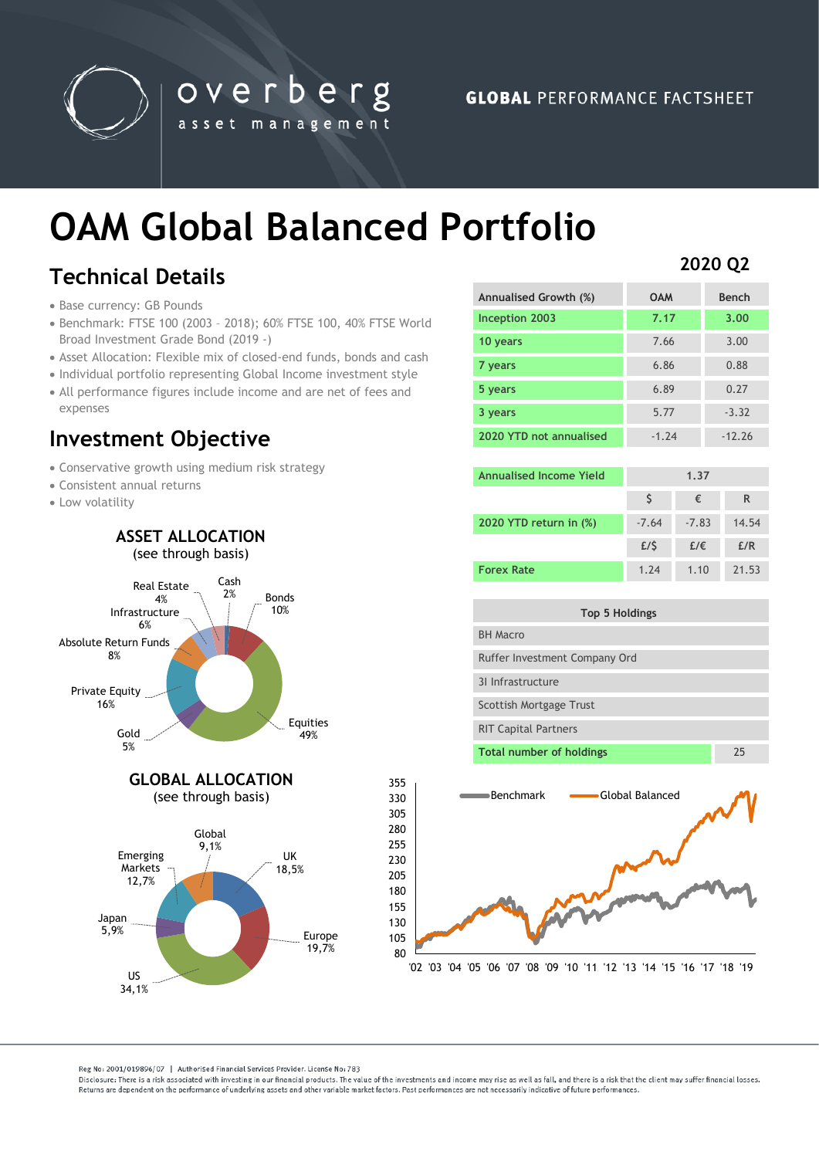

# **OAM Global Balanced Portfolio**

overberg

asset management

## **Technical Details**

- Base currency: GB Pounds
- Benchmark: FTSE 100 (2003 2018); 60% FTSE 100, 40% FTSE World Broad Investment Grade Bond (2019 -)
- Asset Allocation: Flexible mix of closed-end funds, bonds and cash
- Individual portfolio representing Global Income investment style
- All performance figures include income and are net of fees and expenses

### **Investment Objective**

- Conservative growth using medium risk strategy
- Consistent annual returns
- Low volatility



### **2020 Q2**

| Annualised Growth (%)   | <b>OAM</b> | <b>Bench</b> |
|-------------------------|------------|--------------|
| Inception 2003          | 7.17       | 3.00         |
| 10 years                | 7.66       | 3.00         |
| 7 years                 | 6.86       | 0.88         |
| 5 years                 | 6.89       | 0.27         |
| 3 years                 | 5.77       | $-3.32$      |
| 2020 YTD not annualised | $-1.74$    | $-12.26$     |

| Annualised Income Yield | 1.37    |         |       |
|-------------------------|---------|---------|-------|
|                         |         | €       | R     |
| 2020 YTD return in (%)  | $-7.64$ | $-7.83$ | 14.54 |
|                         | E/S     | £/€     | E/R   |
| <b>Forex Rate</b>       | 1.74    | 1.10    | 21.53 |

| Top 5 Holdings                |    |  |
|-------------------------------|----|--|
| <b>BH Macro</b>               |    |  |
| Ruffer Investment Company Ord |    |  |
| 31 Infrastructure             |    |  |
| Scottish Mortgage Trust       |    |  |
| <b>RIT Capital Partners</b>   |    |  |
| Total number of holdings      | 25 |  |
|                               |    |  |



'02 '03 '04 '05 '06 '07 '08 '09 '10 '11 '12 '13 '14 '15 '16 '17 '18 '19

Reg No: 2001/019896/07 | Authorised Financial Services Provider, License No: 783

US 34,1%

Disclosure: There is a risk associated with investing in our financial products. The value of the investments and income may rise as well as fall, and there is a risk that the client may suffer financial losses Beturns are dependent on the performance of underlying assets and other variable market factors. Past performances are not necessarily indicative of future performances.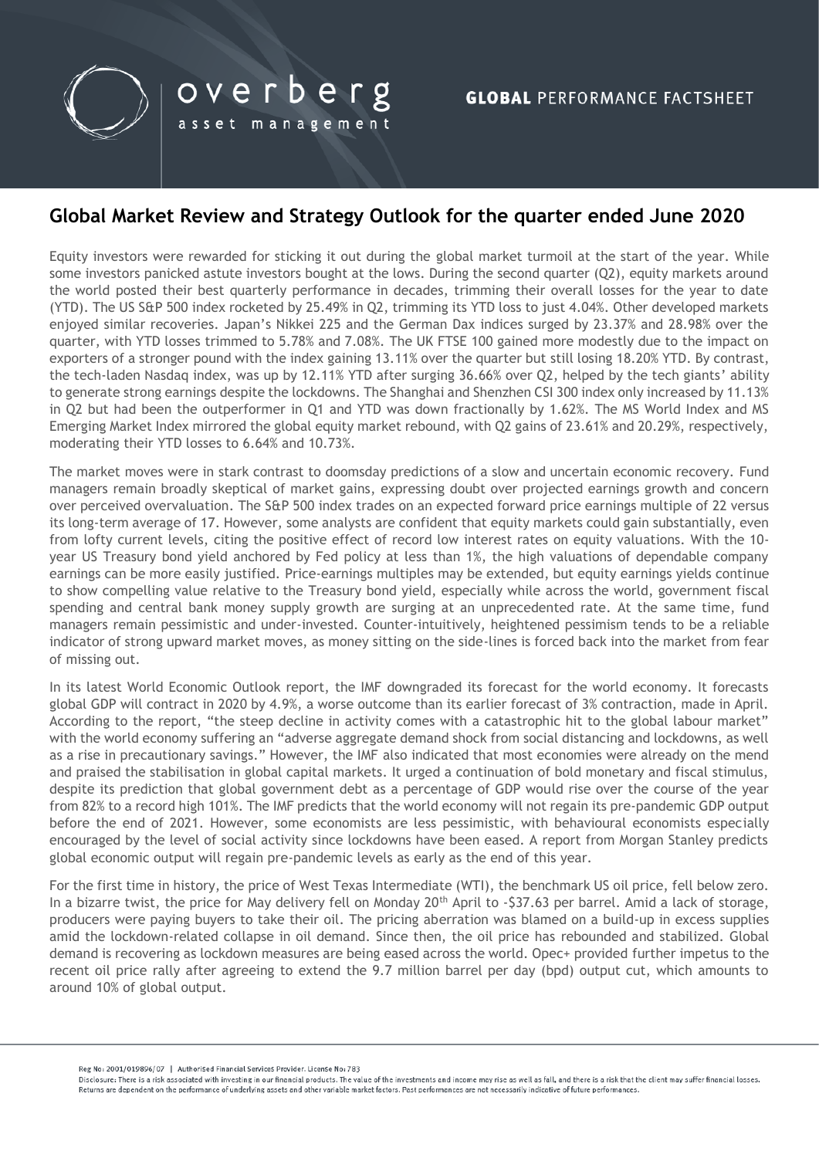

### **Global Market Review and Strategy Outlook for the quarter ended June 2020**

Equity investors were rewarded for sticking it out during the global market turmoil at the start of the year. While some investors panicked astute investors bought at the lows. During the second quarter (Q2), equity markets around the world posted their best quarterly performance in decades, trimming their overall losses for the year to date (YTD). The US S&P 500 index rocketed by 25.49% in Q2, trimming its YTD loss to just 4.04%. Other developed markets enjoyed similar recoveries. Japan's Nikkei 225 and the German Dax indices surged by 23.37% and 28.98% over the quarter, with YTD losses trimmed to 5.78% and 7.08%. The UK FTSE 100 gained more modestly due to the impact on exporters of a stronger pound with the index gaining 13.11% over the quarter but still losing 18.20% YTD. By contrast, the tech-laden Nasdaq index, was up by 12.11% YTD after surging 36.66% over Q2, helped by the tech giants' ability to generate strong earnings despite the lockdowns. The Shanghai and Shenzhen CSI 300 index only increased by 11.13% in Q2 but had been the outperformer in Q1 and YTD was down fractionally by 1.62%. The MS World Index and MS Emerging Market Index mirrored the global equity market rebound, with Q2 gains of 23.61% and 20.29%, respectively, moderating their YTD losses to 6.64% and 10.73%.

The market moves were in stark contrast to doomsday predictions of a slow and uncertain economic recovery. Fund managers remain broadly skeptical of market gains, expressing doubt over projected earnings growth and concern over perceived overvaluation. The S&P 500 index trades on an expected forward price earnings multiple of 22 versus its long-term average of 17. However, some analysts are confident that equity markets could gain substantially, even from lofty current levels, citing the positive effect of record low interest rates on equity valuations. With the 10 year US Treasury bond yield anchored by Fed policy at less than 1%, the high valuations of dependable company earnings can be more easily justified. Price-earnings multiples may be extended, but equity earnings yields continue to show compelling value relative to the Treasury bond yield, especially while across the world, government fiscal spending and central bank money supply growth are surging at an unprecedented rate. At the same time, fund managers remain pessimistic and under-invested. Counter-intuitively, heightened pessimism tends to be a reliable indicator of strong upward market moves, as money sitting on the side-lines is forced back into the market from fear of missing out.

In its latest World Economic Outlook report, the IMF downgraded its forecast for the world economy. It forecasts global GDP will contract in 2020 by 4.9%, a worse outcome than its earlier forecast of 3% contraction, made in April. According to the report, "the steep decline in activity comes with a catastrophic hit to the global labour market" with the world economy suffering an "adverse aggregate demand shock from social distancing and lockdowns, as well as a rise in precautionary savings." However, the IMF also indicated that most economies were already on the mend and praised the stabilisation in global capital markets. It urged a continuation of bold monetary and fiscal stimulus, despite its prediction that global government debt as a percentage of GDP would rise over the course of the year from 82% to a record high 101%. The IMF predicts that the world economy will not regain its pre-pandemic GDP output before the end of 2021. However, some economists are less pessimistic, with behavioural economists especially encouraged by the level of social activity since lockdowns have been eased. A report from Morgan Stanley predicts global economic output will regain pre-pandemic levels as early as the end of this year.

For the first time in history, the price of West Texas Intermediate (WTI), the benchmark US oil price, fell below zero. In a bizarre twist, the price for May delivery fell on Monday 20<sup>th</sup> April to -\$37.63 per barrel. Amid a lack of storage, producers were paying buyers to take their oil. The pricing aberration was blamed on a build-up in excess supplies amid the lockdown-related collapse in oil demand. Since then, the oil price has rebounded and stabilized. Global demand is recovering as lockdown measures are being eased across the world. Opec+ provided further impetus to the recent oil price rally after agreeing to extend the 9.7 million barrel per day (bpd) output cut, which amounts to around 10% of global output.

Disclosure: There is a risk associated with investing in our financial products. The value of the investments and income may rise as well as fall, and there is a risk that the client may suffer financial losses Returns are dependent on the performance of underlying assets and other variable market factors. Past performances are not necessarily indicative of future performances.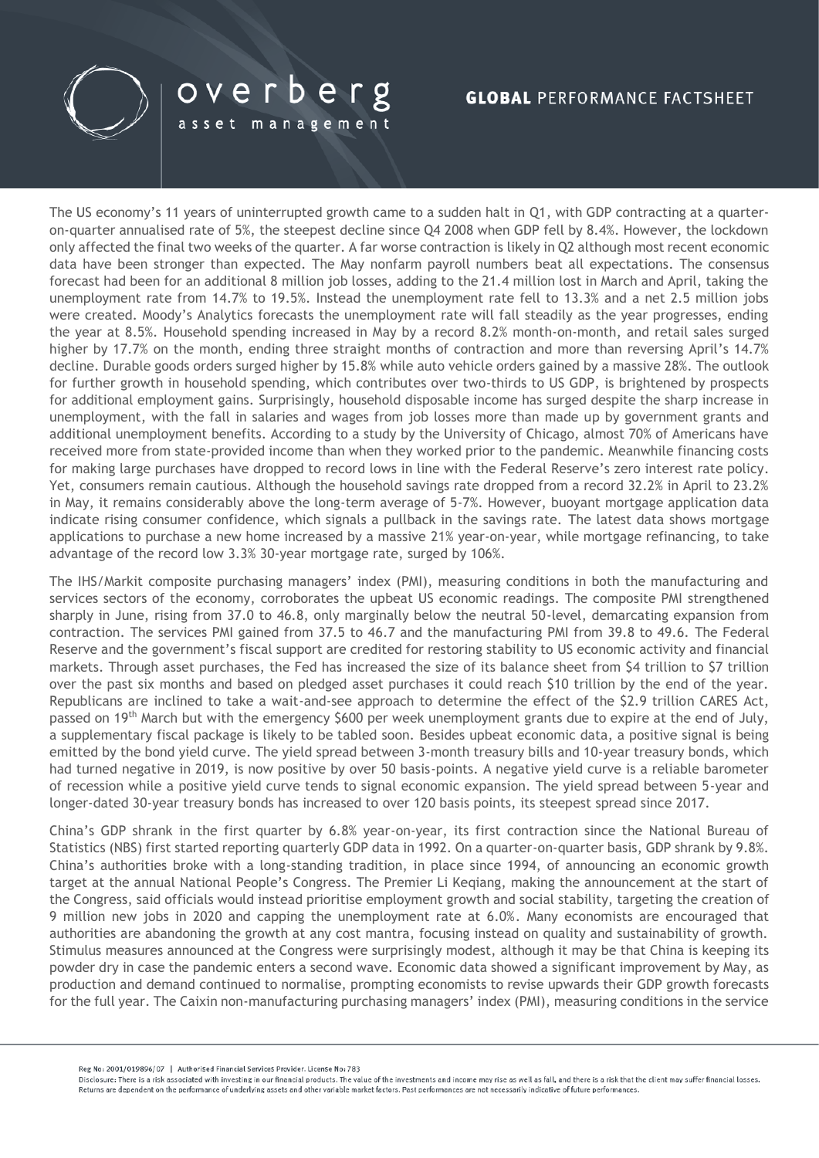

## overberg

asset management

### **GLOBAL PERFORMANCE FACTSHEET**

The US economy's 11 years of uninterrupted growth came to a sudden halt in Q1, with GDP contracting at a quarteron-quarter annualised rate of 5%, the steepest decline since Q4 2008 when GDP fell by 8.4%. However, the lockdown only affected the final two weeks of the quarter. A far worse contraction is likely in Q2 although most recent economic data have been stronger than expected. The May nonfarm payroll numbers beat all expectations. The consensus forecast had been for an additional 8 million job losses, adding to the 21.4 million lost in March and April, taking the unemployment rate from 14.7% to 19.5%. Instead the unemployment rate fell to 13.3% and a net 2.5 million jobs were created. Moody's Analytics forecasts the unemployment rate will fall steadily as the year progresses, ending the year at 8.5%. Household spending increased in May by a record 8.2% month-on-month, and retail sales surged higher by 17.7% on the month, ending three straight months of contraction and more than reversing April's 14.7% decline. Durable goods orders surged higher by 15.8% while auto vehicle orders gained by a massive 28%. The outlook for further growth in household spending, which contributes over two-thirds to US GDP, is brightened by prospects for additional employment gains. Surprisingly, household disposable income has surged despite the sharp increase in unemployment, with the fall in salaries and wages from job losses more than made up by government grants and additional unemployment benefits. According to a study by the University of Chicago, almost 70% of Americans have received more from state-provided income than when they worked prior to the pandemic. Meanwhile financing costs for making large purchases have dropped to record lows in line with the Federal Reserve's zero interest rate policy. Yet, consumers remain cautious. Although the household savings rate dropped from a record 32.2% in April to 23.2% in May, it remains considerably above the long-term average of 5-7%. However, buoyant mortgage application data indicate rising consumer confidence, which signals a pullback in the savings rate. The latest data shows mortgage applications to purchase a new home increased by a massive 21% year-on-year, while mortgage refinancing, to take advantage of the record low 3.3% 30-year mortgage rate, surged by 106%.

The IHS/Markit composite purchasing managers' index (PMI), measuring conditions in both the manufacturing and services sectors of the economy, corroborates the upbeat US economic readings. The composite PMI strengthened sharply in June, rising from 37.0 to 46.8, only marginally below the neutral 50-level, demarcating expansion from contraction. The services PMI gained from 37.5 to 46.7 and the manufacturing PMI from 39.8 to 49.6. The Federal Reserve and the government's fiscal support are credited for restoring stability to US economic activity and financial markets. Through asset purchases, the Fed has increased the size of its balance sheet from \$4 trillion to \$7 trillion over the past six months and based on pledged asset purchases it could reach \$10 trillion by the end of the year. Republicans are inclined to take a wait-and-see approach to determine the effect of the \$2.9 trillion CARES Act, passed on 19th March but with the emergency \$600 per week unemployment grants due to expire at the end of July, a supplementary fiscal package is likely to be tabled soon. Besides upbeat economic data, a positive signal is being emitted by the bond yield curve. The yield spread between 3-month treasury bills and 10-year treasury bonds, which had turned negative in 2019, is now positive by over 50 basis-points. A negative yield curve is a reliable barometer of recession while a positive yield curve tends to signal economic expansion. The yield spread between 5-year and longer-dated 30-year treasury bonds has increased to over 120 basis points, its steepest spread since 2017.

China's GDP shrank in the first quarter by 6.8% year-on-year, its first contraction since the National Bureau of Statistics (NBS) first started reporting quarterly GDP data in 1992. On a quarter-on-quarter basis, GDP shrank by 9.8%. China's authorities broke with a long-standing tradition, in place since 1994, of announcing an economic growth target at the annual National People's Congress. The Premier Li Keqiang, making the announcement at the start of the Congress, said officials would instead prioritise employment growth and social stability, targeting the creation of 9 million new jobs in 2020 and capping the unemployment rate at 6.0%. Many economists are encouraged that authorities are abandoning the growth at any cost mantra, focusing instead on quality and sustainability of growth. Stimulus measures announced at the Congress were surprisingly modest, although it may be that China is keeping its powder dry in case the pandemic enters a second wave. Economic data showed a significant improvement by May, as production and demand continued to normalise, prompting economists to revise upwards their GDP growth forecasts for the full year. The Caixin non-manufacturing purchasing managers' index (PMI), measuring conditions in the service

Reg No: 2001/019896/07 | Authorised Financial Services Provider, License No: 783

Disclosure: There is a risk associated with investing in our financial products. The value of the investments and income may rise as well as fall, and there is a risk that the client may suffer financial losses Returns are dependent on the performance of underlying assets and other variable market factors. Past performances are not necessarily indicative of future performances.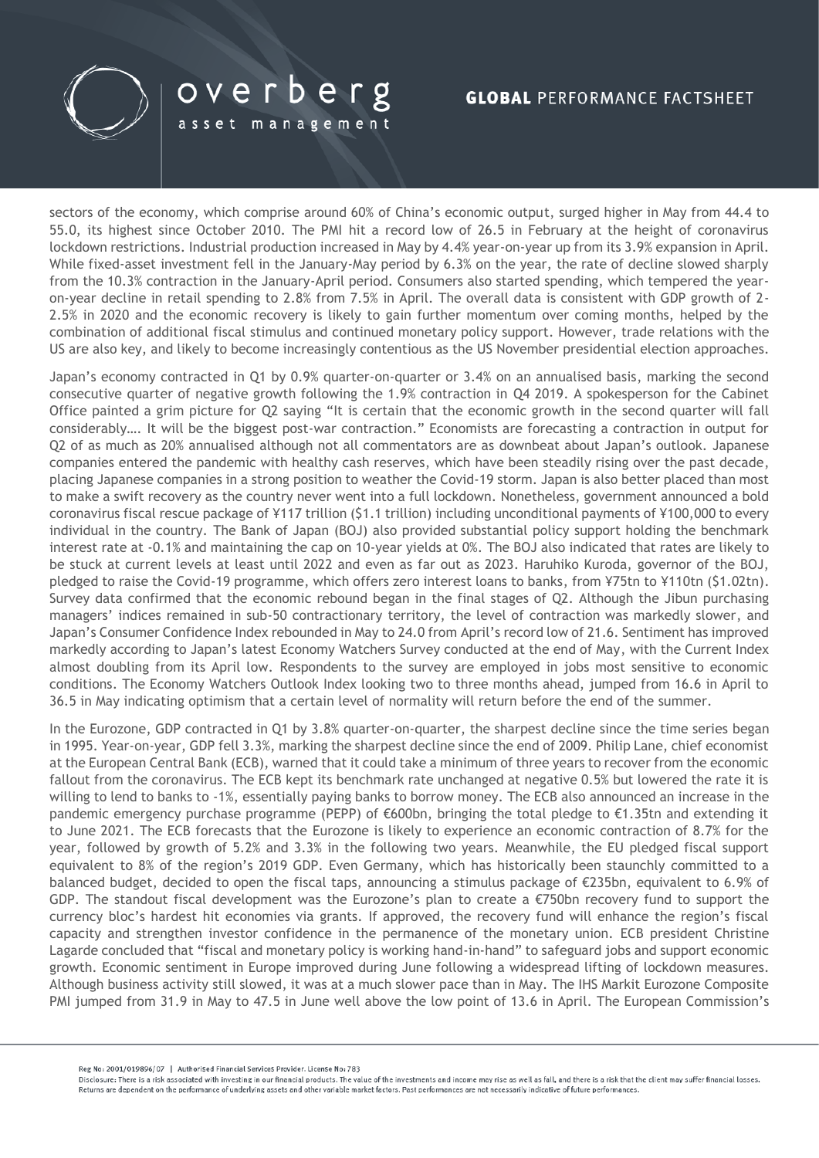

sectors of the economy, which comprise around 60% of China's economic output, surged higher in May from 44.4 to 55.0, its highest since October 2010. The PMI hit a record low of 26.5 in February at the height of coronavirus lockdown restrictions. Industrial production increased in May by 4.4% year-on-year up from its 3.9% expansion in April. While fixed-asset investment fell in the January-May period by 6.3% on the year, the rate of decline slowed sharply from the 10.3% contraction in the January-April period. Consumers also started spending, which tempered the yearon-year decline in retail spending to 2.8% from 7.5% in April. The overall data is consistent with GDP growth of 2- 2.5% in 2020 and the economic recovery is likely to gain further momentum over coming months, helped by the combination of additional fiscal stimulus and continued monetary policy support. However, trade relations with the US are also key, and likely to become increasingly contentious as the US November presidential election approaches.

overberg

asset management

Japan's economy contracted in Q1 by 0.9% quarter-on-quarter or 3.4% on an annualised basis, marking the second consecutive quarter of negative growth following the 1.9% contraction in Q4 2019. A spokesperson for the Cabinet Office painted a grim picture for Q2 saying "It is certain that the economic growth in the second quarter will fall considerably…. It will be the biggest post-war contraction." Economists are forecasting a contraction in output for Q2 of as much as 20% annualised although not all commentators are as downbeat about Japan's outlook. Japanese companies entered the pandemic with healthy cash reserves, which have been steadily rising over the past decade, placing Japanese companies in a strong position to weather the Covid-19 storm. Japan is also better placed than most to make a swift recovery as the country never went into a full lockdown. Nonetheless, government announced a bold coronavirus fiscal rescue package of ¥117 trillion (\$1.1 trillion) including unconditional payments of ¥100,000 to every individual in the country. The Bank of Japan (BOJ) also provided substantial policy support holding the benchmark interest rate at -0.1% and maintaining the cap on 10-year yields at 0%. The BOJ also indicated that rates are likely to be stuck at current levels at least until 2022 and even as far out as 2023. Haruhiko Kuroda, governor of the BOJ, pledged to raise the Covid-19 programme, which offers zero interest loans to banks, from ¥75tn to ¥110tn (\$1.02tn). Survey data confirmed that the economic rebound began in the final stages of Q2. Although the Jibun purchasing managers' indices remained in sub-50 contractionary territory, the level of contraction was markedly slower, and Japan's Consumer Confidence Index rebounded in May to 24.0 from April's record low of 21.6. Sentiment has improved markedly according to Japan's latest Economy Watchers Survey conducted at the end of May, with the Current Index almost doubling from its April low. Respondents to the survey are employed in jobs most sensitive to economic conditions. The Economy Watchers Outlook Index looking two to three months ahead, jumped from 16.6 in April to 36.5 in May indicating optimism that a certain level of normality will return before the end of the summer.

In the Eurozone, GDP contracted in Q1 by 3.8% quarter-on-quarter, the sharpest decline since the time series began in 1995. Year-on-year, GDP fell 3.3%, marking the sharpest decline since the end of 2009. Philip Lane, chief economist at the European Central Bank (ECB), warned that it could take a minimum of three years to recover from the economic fallout from the coronavirus. The ECB kept its benchmark rate unchanged at negative 0.5% but lowered the rate it is willing to lend to banks to -1%, essentially paying banks to borrow money. The ECB also announced an increase in the pandemic emergency purchase programme (PEPP) of €600bn, bringing the total pledge to €1.35tn and extending it to June 2021. The ECB forecasts that the Eurozone is likely to experience an economic contraction of 8.7% for the year, followed by growth of 5.2% and 3.3% in the following two years. Meanwhile, the EU pledged fiscal support equivalent to 8% of the region's 2019 GDP. Even Germany, which has historically been staunchly committed to a balanced budget, decided to open the fiscal taps, announcing a stimulus package of €235bn, equivalent to 6.9% of GDP. The standout fiscal development was the Eurozone's plan to create a €750bn recovery fund to support the currency bloc's hardest hit economies via grants. If approved, the recovery fund will enhance the region's fiscal capacity and strengthen investor confidence in the permanence of the monetary union. ECB president Christine Lagarde concluded that "fiscal and monetary policy is working hand-in-hand" to safeguard jobs and support economic growth. Economic sentiment in Europe improved during June following a widespread lifting of lockdown measures. Although business activity still slowed, it was at a much slower pace than in May. The IHS Markit Eurozone Composite PMI jumped from 31.9 in May to 47.5 in June well above the low point of 13.6 in April. The European Commission's

Disclosure: There is a risk associated with investing in our financial products. The value of the investments and income may rise as well as fall, and there is a risk that the client may suffer financial losses Beturns are dependent on the performance of underlying assets and other variable market factors. Past performances are not necessarily indicative of future performances.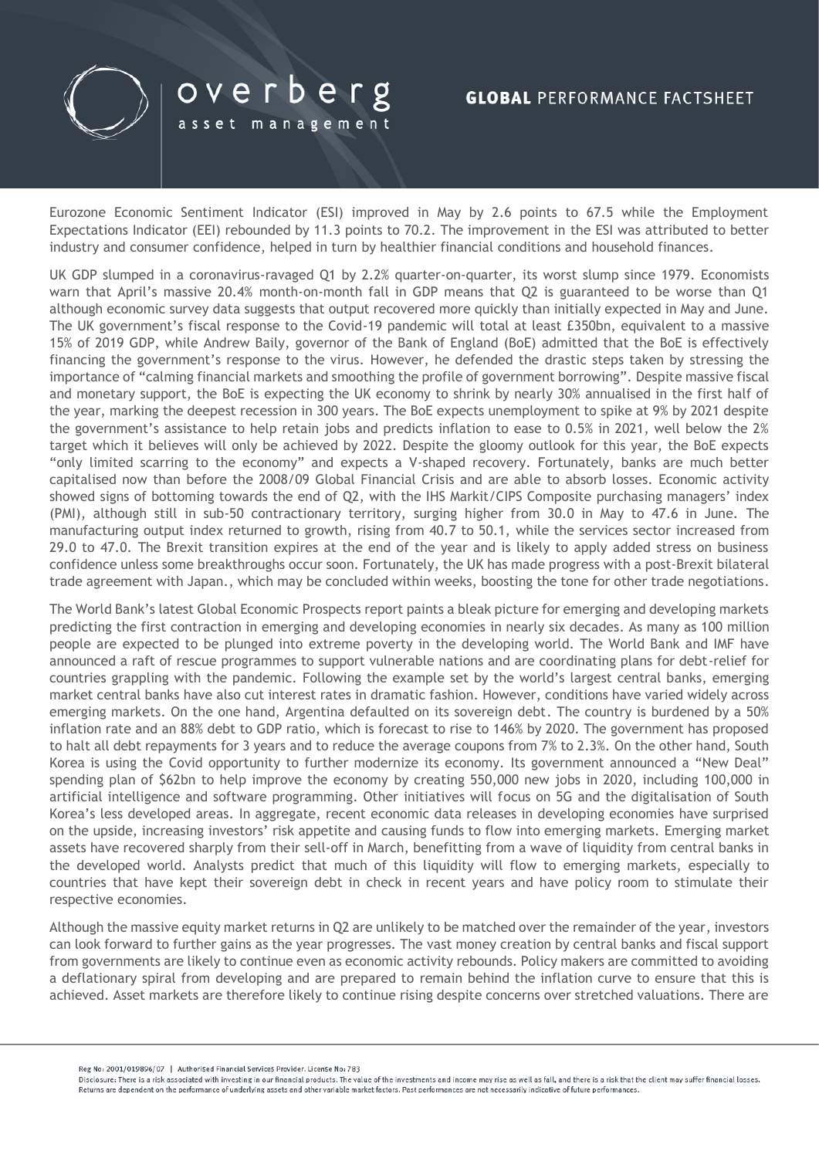

Eurozone Economic Sentiment Indicator (ESI) improved in May by 2.6 points to 67.5 while the Employment Expectations Indicator (EEI) rebounded by 11.3 points to 70.2. The improvement in the ESI was attributed to better industry and consumer confidence, helped in turn by healthier financial conditions and household finances.

UK GDP slumped in a coronavirus-ravaged Q1 by 2.2% quarter-on-quarter, its worst slump since 1979. Economists warn that April's massive 20.4% month-on-month fall in GDP means that Q2 is guaranteed to be worse than Q1 although economic survey data suggests that output recovered more quickly than initially expected in May and June. The UK government's fiscal response to the Covid-19 pandemic will total at least £350bn, equivalent to a massive 15% of 2019 GDP, while Andrew Baily, governor of the Bank of England (BoE) admitted that the BoE is effectively financing the government's response to the virus. However, he defended the drastic steps taken by stressing the importance of "calming financial markets and smoothing the profile of government borrowing". Despite massive fiscal and monetary support, the BoE is expecting the UK economy to shrink by nearly 30% annualised in the first half of the year, marking the deepest recession in 300 years. The BoE expects unemployment to spike at 9% by 2021 despite the government's assistance to help retain jobs and predicts inflation to ease to 0.5% in 2021, well below the 2% target which it believes will only be achieved by 2022. Despite the gloomy outlook for this year, the BoE expects "only limited scarring to the economy" and expects a V-shaped recovery. Fortunately, banks are much better capitalised now than before the 2008/09 Global Financial Crisis and are able to absorb losses. Economic activity showed signs of bottoming towards the end of Q2, with the IHS Markit/CIPS Composite purchasing managers' index (PMI), although still in sub-50 contractionary territory, surging higher from 30.0 in May to 47.6 in June. The manufacturing output index returned to growth, rising from 40.7 to 50.1, while the services sector increased from 29.0 to 47.0. The Brexit transition expires at the end of the year and is likely to apply added stress on business confidence unless some breakthroughs occur soon. Fortunately, the UK has made progress with a post-Brexit bilateral trade agreement with Japan., which may be concluded within weeks, boosting the tone for other trade negotiations.

The World Bank's latest Global Economic Prospects report paints a bleak picture for emerging and developing markets predicting the first contraction in emerging and developing economies in nearly six decades. As many as 100 million people are expected to be plunged into extreme poverty in the developing world. The World Bank and IMF have announced a raft of rescue programmes to support vulnerable nations and are coordinating plans for debt-relief for countries grappling with the pandemic. Following the example set by the world's largest central banks, emerging market central banks have also cut interest rates in dramatic fashion. However, conditions have varied widely across emerging markets. On the one hand, Argentina defaulted on its sovereign debt. The country is burdened by a 50% inflation rate and an 88% debt to GDP ratio, which is forecast to rise to 146% by 2020. The government has proposed to halt all debt repayments for 3 years and to reduce the average coupons from 7% to 2.3%. On the other hand, South Korea is using the Covid opportunity to further modernize its economy. Its government announced a "New Deal" spending plan of \$62bn to help improve the economy by creating 550,000 new jobs in 2020, including 100,000 in artificial intelligence and software programming. Other initiatives will focus on 5G and the digitalisation of South Korea's less developed areas. In aggregate, recent economic data releases in developing economies have surprised on the upside, increasing investors' risk appetite and causing funds to flow into emerging markets. Emerging market assets have recovered sharply from their sell-off in March, benefitting from a wave of liquidity from central banks in the developed world. Analysts predict that much of this liquidity will flow to emerging markets, especially to countries that have kept their sovereign debt in check in recent years and have policy room to stimulate their respective economies.

Although the massive equity market returns in Q2 are unlikely to be matched over the remainder of the year, investors can look forward to further gains as the year progresses. The vast money creation by central banks and fiscal support from governments are likely to continue even as economic activity rebounds. Policy makers are committed to avoiding a deflationary spiral from developing and are prepared to remain behind the inflation curve to ensure that this is achieved. Asset markets are therefore likely to continue rising despite concerns over stretched valuations. There are

Disclosure: There is a risk associated with investing in our financial products. The value of the investments and income may rise as well as fall, and there is a risk that the client may suffer financial losses Returns are dependent on the performance of underlying assets and other variable market factors. Past performances are not necessarily indicative of future performances.